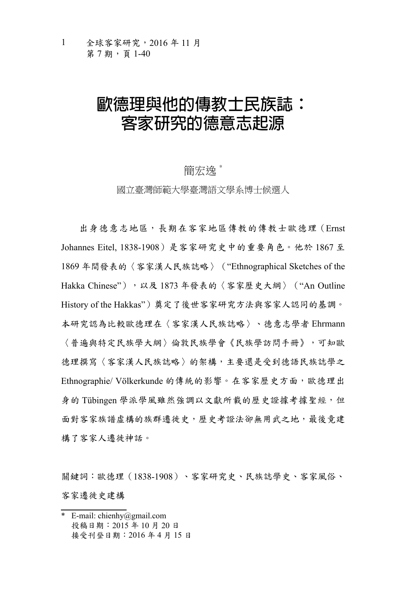### **歐德理與他的傳教士民族誌: 客家研究的德意志起源**

#### 簡宏逸\*

國立臺灣師範大學臺灣語文學系博士候選人

出身德意志地區,長期在客家地區傳教的傳教士歐德理(Ernst Johannes Eitel, 1838-1908)是客家研究史中的重要角色。他於 1867 至 1869 年間發表的〈客家漢人民族誌略〉("Ethnographical Sketches of the Hakka Chinese"),以及 1873 年發表的〈客家歷史大綱〉("An Outline History of the Hakkas")奠定了後世客家研究方法與客家人認同的基調。 本研究認為比較歐德理在〈客家漢人民族誌略〉、德意志學者 Ehrmann 〈普遍與特定民族學大綱〉倫敦民族學會《民族學訪問手冊》,可知歐 德理撰寫〈客家漢人民族誌略〉的架構,主要還是受到德語民族誌學之 Ethnographie/ Völkerkunde 的傳統的影響。在客家歷史方面,歐德理出 身的 Tübingen 學派學風雖然強調以文獻所載的歷史證據考據聖經,但 面對客家族譜虛構的族群遷徙史,歷史考證法卻無用武之地,最後竟建 構了客家人遷徙神話。

關鍵詞:歐德理(1838-1908)、客家研究史、民族誌學史、客家風俗、 客家遷徙史建構

<sup>\*</sup> E-mail: chienhy@gmail.com 投稿日期:2015 年 10 月 20 日 接受刊登日期:2016 年 4 月 15 日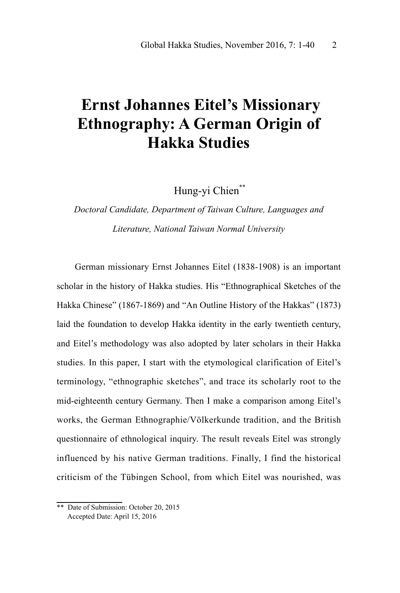### **Ernst Johannes Eitel's Missionary Ethnography: A German Origin of Hakka Studies**

Hung-vi Chien\*\*

### *Doctoral Candidate, Department of Taiwan Culture, Languages and Literature, National Taiwan Normal University*

German missionary Ernst Johannes Eitel (1838-1908) is an important scholar in the history of Hakka studies. His "Ethnographical Sketches of the Hakka Chinese" (1867-1869) and "An Outline History of the Hakkas" (1873) laid the foundation to develop Hakka identity in the early twentieth century, and Eitel's methodology was also adopted by later scholars in their Hakka studies. In this paper, I start with the etymological clarification of Eitel's terminology, "ethnographic sketches", and trace its scholarly root to the mid-eighteenth century Germany. Then I make a comparison among Eitel's works, the German Ethnographie/Völkerkunde tradition, and the British questionnaire of ethnological inquiry. The result reveals Eitel was strongly influenced by his native German traditions. Finally, I find the historical criticism of the Tübingen School, from which Eitel was nourished, was

<sup>\*\*</sup> Date of Submission: October 20, 2015 Accepted Date: April 15, 2016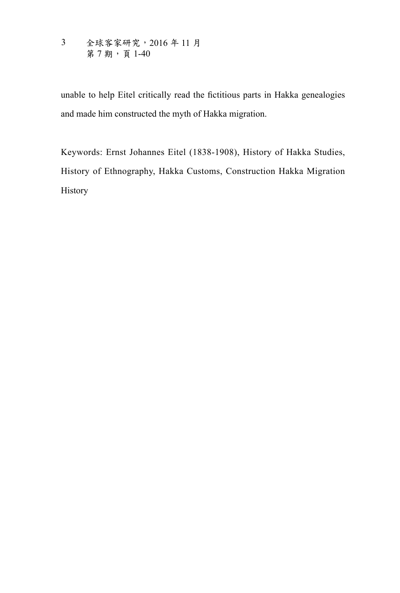全球客家研究,2016 年 11 月 第7期,頁140 3

unable to help Eitel critically read the fictitious parts in Hakka genealogies and made him constructed the myth of Hakka migration.

Keywords: Ernst Johannes Eitel (1838-1908), History of Hakka Studies, History of Ethnography, Hakka Customs, Construction Hakka Migration History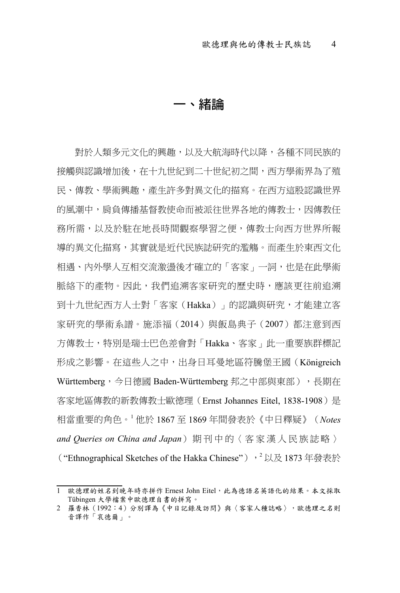#### **一、緒論**

對於人類多元文化的興趣,以及大航海時代以降,各種不同民族的 接觸與認識增加後,在十九世紀到二十世紀初之間,西方學術界為了殖 民、傳教、學術興趣,產生許多對異文化的描寫。在西方這股認識世界 的風潮中, 肩負傳播基督教使命而被派往世界各地的傳教士, 因傳教任 務所需,以及於駐在地長時間觀察學習之便,傳教士向西方世界所報 導的異文化描寫,其實就是近代民族誌研究的濫觴。而產生於東西文化 相遇、內外學人互相交流激盪後才確立的「客家」一詞,也是在此學術 脈絡下的產物。因此,我們追溯客家研究的歷史時,應該更往前追溯 到十九世紀西方人士對「客家(Hakka)」的認識與研究,才能建立客 家研究的學術系譜。施添福(2014)與飯島典子(2007)都注意到西 方傳教士,特別是瑞士巴色差會對「Hakka、客家」此一重要族群標記 形成之影響。在這些人之中,出身日耳曼地區符騰堡王國(Königreich Württemberg,今日德國 Baden-Württemberg 邦之中部與東部),長期在 客家地區傳教的新教傳教士歐德理(Ernst Johannes Eitel, 1838-1908)是 相當重要的角色。<sup>1</sup> 他於 1867 至 1869 年間發表於《中日釋疑》(*Notes and Queries on China and Japan*) 期 刊 中 的〈 客 家 漢 人 民 族 誌 略 〉 ("Ethnographical Sketches of the Hakka Chinese"),<sup>2</sup>以及 1873 年發表於

<sup>1</sup> 歐德理的姓名到晚年時亦拼作 Ernest John Eitel, 此為德語名英語化的結果。本文採取 Tübingen 大學檔案中歐德理自書的拼寫。

<sup>2</sup> 羅香林(1992:4)分別譯為《中日記錄及訪問》與〈客家人種誌略〉,歐德理之名則 音譯作「哀德爾」。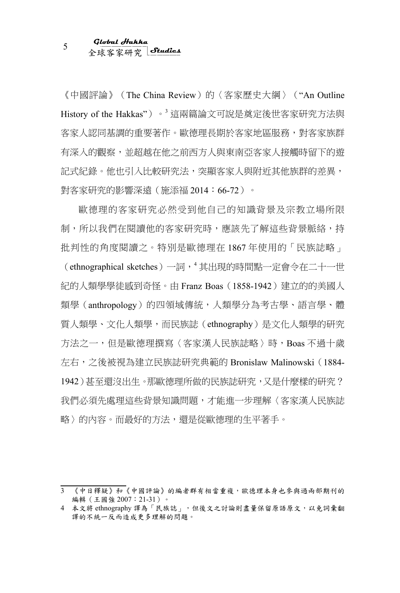《中國評論》(The China Review)的〈客家歷史大綱〉("An Outline History of the Hakkas")。<sup>3</sup>這兩篇論文可說是奠定後世客家研究方法與 客家人認同基調的重要著作。歐德理長期於客家地區服務,對客家族群 有深入的觀察,並超越在他之前西方人與東南亞客家人接觸時留下的遊 記式紀錄。他也引入比較研究法,突顯客家人與附近其他族群的差異, 對客家研究的影響深遠(施添福 2014:66-72)。

歐德理的客家研究必然受到他自己的知識背景及宗教立場所限 制,所以我們在閱讀他的客家研究時,應該先了解這些背景脈絡,持 批判性的角度閱讀之。特別是歐德理在 1867 年使用的「民族誌略」

(ethnographical sketches)一詞,<sup>4</sup> 其出現的時間點一定會令在二十一世 紀的人類學學徒感到奇怪。由 Franz Boas(1858-1942)建立的的美國人 類學(anthropology)的四領域傳統,人類學分為考古學、語言學、體 質人類學、文化人類學,而民族誌(ethnography)是文化人類學的研究 方法之一,但是歐德理撰寫〈客家漢人民族誌略〉時, Boas 不過十歲 左右,之後被視為建立民族誌研究典範的 Bronislaw Malinowski(1884- 1942)甚至還沒出生。那歐德理所做的民族誌研究,又是什麼樣的研究? 我們必須先處理這些背景知識問題,才能進一步理解〈客家漢人民族誌 略〉的內容。而最好的方法,還是從歐德理的生平著手。

<sup>3</sup> 《中日釋疑》和《中國評論》的編者群有相當重複,歐德理本身也參與過兩部期刊的 編輯(王國強 2007:21-31)。

<sup>4</sup> 本文將 ethnography 譯為「民族誌」,但後文之討論則盡量保留原語原文,以免詞彙翻 譯的不統一反而造成更多理解的問題。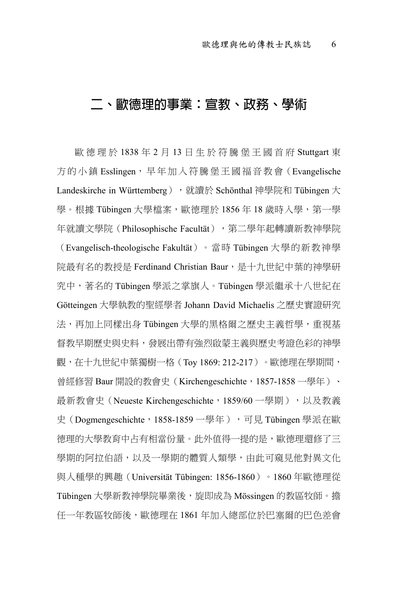#### **二、歐德理的事業:宣教、政務、學術**

歐德理於 1838 年 2 月 13 日生於符騰堡王國首府 Stuttgart 東 方的小鎮 Esslingen,早年加入符騰堡王國福音教會(Evangelische Landeskirche in Württemberg), 就讀於 Schönthal 神學院和 Tübingen 大 學。根據 Tübingen 大學檔案,歐德理於 1856年 18 歲時入學,第一學 年就讀文學院 (Philosophische Facultät), 第二學年起轉讀新教神學院 (Evangelisch-theologische Fakultät)。當時 Tübingen 大學的新教神學 院最有名的教授是 Ferdinand Christian Baur, 是十九世紀中葉的神學研 究中,著名的 Tübingen 學派之掌旗人。Tübingen 學派繼承十八世紀在 Götteingen 大學執教的聖經學者 Johann David Michaelis 之歷史實證研究 法,再加上同樣出身 Tübingen 大學的黑格爾之歷史主義哲學,重視基 督教早期歷史與中料,發展出帶有強烈啟蒙主義與歷史考證色彩的神學 觀,在十九世紀中葉獨樹一格 (Toy 1869: 212-217) 。歐德理在學期間, 曾經修習 Baur 開設的教會史 (Kirchengeschichte, 1857-1858 一學年)、 最新教會史 (Neueste Kirchengeschichte,1859/60 一學期),以及教義 史(Dogmengeschichte, 1858-1859 一學年),可見 Tübingen 學派在歐 德理的大學教育中占有相當份量。此外值得一提的是,歐德理還修了三 學期的阿拉伯語,以及一學期的體質人類學,由此可窺見他對異文化 與人種學的興趣(Universität Tübingen: 1856-1860)。1860 年歐德理從 Tübingen 大學新教神學院畢業後,旋即成為 Mössingen 的教區牧師。擔 任一年教區牧師後,歐德理在 1861 年加入總部位於巴塞爾的巴色差會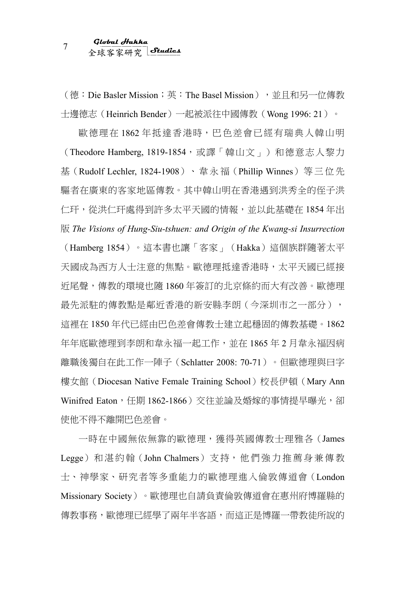(德: Die Basler Mission;英: The Basel Mission),並且和另一位傳教 士邊德志(Heinrich Bender)一起被派往中國傳教(Wong 1996: 21)。

歐德理在 1862 年抵達香港時,巴色差會已經有瑞典人韓山明 (Theodore Hamberg, 1819-1854,或譯「韓山文」)和德意志人黎力 基(Rudolf Lechler, 1824-1908)、韋永福(Phillip Winnes)等三位先 驅者在廣東的客家地區傳教。其中韓山明在香港遇到洪秀全的侄子洪 仁玕,從洪仁玕處得到許多太平天國的情報,並以此基礎在 1854 年出 版 *The Visions of Hung-Siu-tshuen: and Origin of the Kwang-si Insurrection*

(Hamberg 1854)。這本書也讓「客家」(Hakka)這個族群隨著太平 天國成為西方人士注意的焦點。歐德理抵達香港時,太平天國已經接 近尾聲,傳教的環境也隨 1860 年簽訂的北京條約而大有改善。歐德理 最先派駐的傳教點是鄰近香港的新安縣李朗(今深圳市之一部分), 這裡在 1850 年代已經由巴色差會傳教士建立起穩固的傳教基礎。1862 年年底歐德理到李朗和韋永福一起工作,並在 1865 年 2 月韋永福因病 離職後獨自在此工作一陣子(Schlatter 2008: 70-71)。但歐德理與曰字 樓女館 (Diocesan Native Female Training School)校長伊頓 (Mary Ann Winifred Eaton, 任期 1862-1866) 交往並論及婚嫁的事情提早曝光, 卻 使他不得不離開巴色差會。

一時在中國無依無靠的歐德理,獲得英國傳教士理雅各(James Legge)和湛約翰(John Chalmers)支持,他們強力推薦身兼傳教 士、神學家、研究者等多重能力的歐德理進入倫敦傳道會(London Missionary Society)。歐德理也自請負責倫敦傳道會在惠州府博羅縣的 傳教事務,歐德理已經學了兩年半客語,而這正是博羅一帶教徒所說的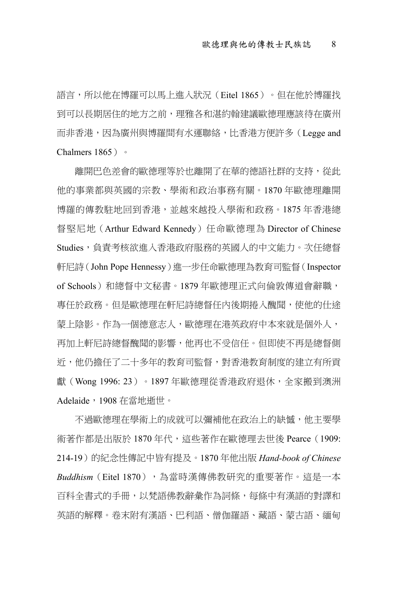語言,所以他在博羅可以馬上進入狀況(Eitel 1865)。但在他於博羅找 到可以長期居住的地方之前,理雅各和湛約翰建議歐德理應該待在廣州 而非香港,因為廣州與博羅間有水運聯絡,比香港方便許多(Legge and Chalmers 1865)。

離開巴色差會的歐德理等於也離開了在華的德語社群的支持,從此 他的事業都與英國的宗教、學術和政治事務有關。1870 年歐德理離開 博羅的傳教駐地回到香港,並越來越投入學術和政務。1875 年香港總 督堅尼地(Arthur Edward Kennedy)任命歐德理為 Director of Chinese Studies,負責考核欲進入香港政府服務的英國人的中文能力。次任總督 軒尼詩(John Pope Hennessy)進一步任命歐德理為教育司監督(Inspector of Schools)和總督中文秘書。1879年歐德理正式向倫敦傳道會辭職, 專任於政務。但是歐德理在軒尼詩總督任內後期捲入醜聞,使他的仕途 蒙上陰影。作為一個德意志人,歐德理在港英政府中本來就是個外人, 再加上軒尼詩總督醜聞的影響,他再也不受信任。但即使不再是總督側 近,他仍擔任了二十多年的教育司監督,對香港教育制度的建立有所貢 獻 ( Wong 1996: 23 ) 。1897 年歐德理從香港政府退休,全家搬到澳洲 Adelaide,1908 在當地逝世。

不過歐德理在學術上的成就可以彌補他在政治上的缺憾,他主要學 術著作都是出版於 1870年代,這些著作在歐德理去世後 Pearce (1909: 214-19)的紀念性傳記中皆有提及。1870 年他出版 *Hand-book of Chinese*   $\mathit{Buddhism}$  (Eitel 1870), 為當時漢傳佛教研究的重要著作。這是一本 百科全書式的手冊,以梵語佛教辭彙作為詞條,每條中有漢語的對譯和 英語的解釋。卷末附有漢語、巴利語、僧伽羅語、藏語、蒙古語、緬甸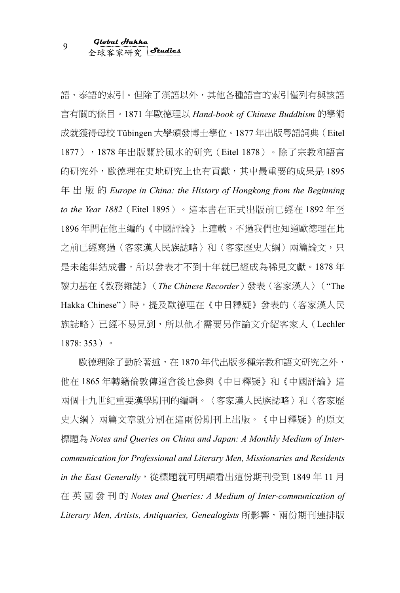語、泰語的索引。但除了漢語以外,其他各種語言的索引僅列有與該語 言有關的條目。1871 年歐德理以 *Hand-book of Chinese Buddhism* 的學術 成就獲得母校 Tübingen 大學頒發博士學位。1877 年出版粵語詞典(Eitel 1877), 1878年出版關於風水的研究 (Eitel 1878)。除了宗教和語言 的研究外,歐德理在史地研究上也有貢獻,其中最重要的成果是 1895 年出版的 *Europe in China: the History of Hongkong from the Beginning to the Year 1882*(Eitel 1895)。這本書在正式出版前已經在 1892 年至 1896 年間在他主編的《中國評論》上連載。不過我們也知道歐德理在此 之前已經寫過〈客家達人民族誌略〉和〈客家歷史大綱〉兩篇論文,只 是未能集結成書,所以發表才不到十年就已經成為稀見文獻。1878 年 黎力基在《教務雜誌》(*The Chinese Recorder*)發表〈客家漢人〉("The Hakka Chinese")時,提及歐德理在《中日釋疑》發表的〈客家漢人民 族誌略〉已經不易見到,所以他才需要另作論文介紹客家人(Lechler 1878: 353)。

歐德理除了勤於著述,在 1870 年代出版多種宗教和語文研究之外, 他在 1865 年轉籍倫敦傳道會後也參與《中日釋疑》和《中國評論》這 兩個十九世紀重要漢學期刊的編輯。〈客家漢人民族誌略〉和〈客家歷 史大綱〉兩篇文章就分別在這兩份期刊上出版。《中日釋疑》的原文 標題為 *Notes and Queries on China and Japan: A Monthly Medium of Intercommunication for Professional and Literary Men, Missionaries and Residents in the East Generally*,從標題就可明顯看出這份期刊受到 1849 年 11 月 在英國發刊的 *Notes and Queries: A Medium of Inter-communication of*  Literary Men, Artists, Antiquaries, Genealogists 所影響, 兩份期刊連排版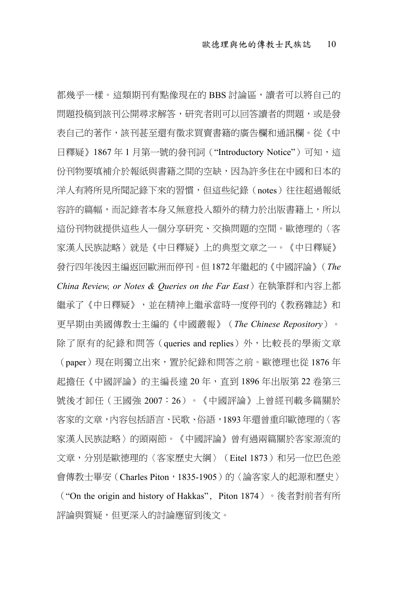都幾乎一樣。這類期刊有點像現在的 BBS 討論區,讀者可以將自己的 問題投稿到該刊公開尋求解答,研究者則可以回答讀者的問題,或是發 表自己的著作,該刊甚至還有徵求買賣書籍的廣告欄和通訊欄。從《中 日釋疑》1867年1月第一號的發刊詞 ("Introductory Notice") 可知,這 份刊物要填補介於報紙與書籍之間的空缺,因為許多住在中國和日本的 洋人有將所見所聞記錄下來的習慣,但這些紀錄(notes)往往超過報紙 容許的篇幅,而記錄者本身又無意投入額外的精力於出版書籍上,所以 這份刊物就提供這些人一個分享研究、交換問題的空間。歐德理的〈客 家漢人民族誌略〉就是《中日釋疑》上的典型文章之一。《中日釋疑》 發行四年後因主編返回歐洲而停刊。但 1872 年繼起的《中國評論》(*The China Review, or Notes & Queries on the Far East*)在執筆群和內容上都 繼承了《中日釋疑》,並在精神上繼承當時一度停刊的《教務雜誌》和 更早期由美國傳教士主編的《中國叢報》(*The Chinese Repository*)。 除了原有的紀錄和問答 (queries and replies) 外,比較長的學術文章 (paper)現在則獨立出來,置於紀錄和問答之前。歐德理也從 1876 年 起擔任《中國評論》的主編長達 20 年,直到 1896 年出版第 22 卷第三 號後才卸任(王國強 2007:26)。《中國評論》上曾經刊載多篇關於 客家的文章,內容包括語言、民歌、俗語,1893年還曾重印歐德理的〈客 家漢人民族誌略〉的頭兩節。《中國評論》曾有過兩篇關於客家源流的 文章,分別是歐德理的〈客家歷史大綱〉(Eitel 1873)和另一位巴色差 會傳教士畢安 (Charles Piton, 1835-1905)的〈論客家人的起源和歷史〉 ("On the origin and history of Hakkas", Piton 1874)。後者對前者有所 評論與質疑,但更深入的討論應留到後文。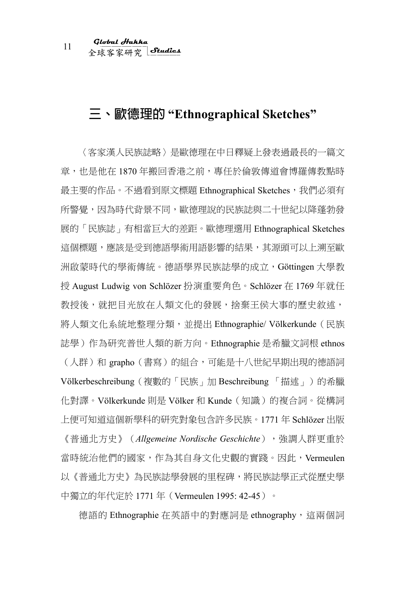#### **三、歐德理的 "Ethnographical Sketches"**

〈客家漢人民族誌略〉是歐德理在中日釋疑上發表過最長的一篇文 章,也是他在 1870年搬回香港之前,專任於倫敦傳道會博羅傳教點時 最主要的作品。不過看到原文標題 Ethnographical Sketches,我們必須有 所警覺,因為時代背景不同,歐德理說的民族誌與二十世紀以降蓬勃發 展的「民族誌」有相當巨大的差距。歐德理選用 Ethnographical Sketches 這個標題,應該是受到德語學術用語影響的結果,其源頭可以上溯至歐 洲啟蒙時代的學術傳統。德語學界民族誌學的成立,Göttingen 大學教 授 August Ludwig von Schlözer 扮演重要角色。Schlözer 在 1769 年就任 教授後,就把目光放在人類文化的發展,捨棄王侯大事的歷史敘述, 將人類文化系統地整理分類,並提出 Ethnographie/ Völkerkunde(民族 誌學)作為研究普世人類的新方向。Ethnographie 是希臘文詞根 ethnos (人群)和 grapho (書寫)的組合,可能是十八世紀早期出現的德語詞 Völkerbeschreibung (複數的「民族」加 Beschreibung 「描述」)的希臘 化對譯。Völkerkunde 則是 Völker 和 Kunde(知識)的複合詞。從構詞 上便可知道這個新學科的研究對象包含許多民族。1771 年 Schlözer 出版 《普通北方史》(*Allgemeine Nordische Geschichte*),強調人群更重於 當時統治他們的國家,作為其自身文化史觀的實踐。因此,Vermeulen 以《普通北方史》為民族誌學發展的里程碑,將民族誌學正式從歷史學 中獨立的年代定於 1771 年(Vermeulen 1995: 42-45)。

德語的 Ethnographie 在英語中的對應詞是 ethnography, 這兩個詞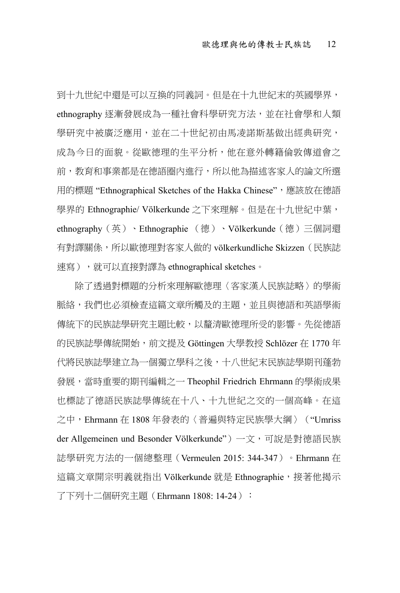到十九世紀中還是可以互換的同義詞。但是在十九世紀末的英國學界, ethnography 逐漸發展成為一種社會科學研究方法,並在社會學和人類 學研究中被廣泛應用,並在二十世紀初由馬凌諾斯基做出經典研究, 成為今日的面貌。從歐德理的生平分析,他在意外轉籍倫敦傳道會之 前,教育和事業都是在德語圈內進行,所以他為描述客家人的論文所選 用的標題 "Ethnographical Sketches of the Hakka Chinese", 應該放在德語 學界的 Ethnographie/ Völkerkunde 之下來理解。但是在十九世紀中葉, ethnography(英)、Ethnographie (德)、Völkerkunde(德)三個詞還 有對譯關係,所以歐德理對客家人做的 völkerkundliche Skizzen (民族誌 速寫),就可以直接對譯為 ethnographical sketches。

除了透過對標題的分析來理解歐德理〈客家漢人民族誌略〉的學術 脈絡,我們也必須檢查這篇文章所觸及的主題,並且與德語和英語學術 傳統下的民族誌學研究主題比較,以釐清歐德理所受的影響。先從德語 的民族誌學傳統開始,前文提及 Göttingen 大學教授 Schlözer 在 1770 年 代將民族誌學建立為一個獨立學科之後,十八世紀末民族誌學期刊蓬勃 發展,當時重要的期刊編輯之一 Theophil Friedrich Ehrmann 的學術成果 也標誌了德語民族誌學傳統在十八、十九世紀之交的一個高峰。在這 之中,Ehrmann 在 1808 年發表的〈普遍與特定民族學大綱〉("Umriss der Allgemeinen und Besonder Völkerkunde")一文,可說是對德語民族 誌學研究方法的一個總整理(Vermeulen 2015: 344-347)。Ehrmann 在 這篇文章開宗明義就指出 Völkerkunde 就是 Ethnographie,接著他揭示 了下列十二個研究主題 (Ehrmann 1808: 14-24):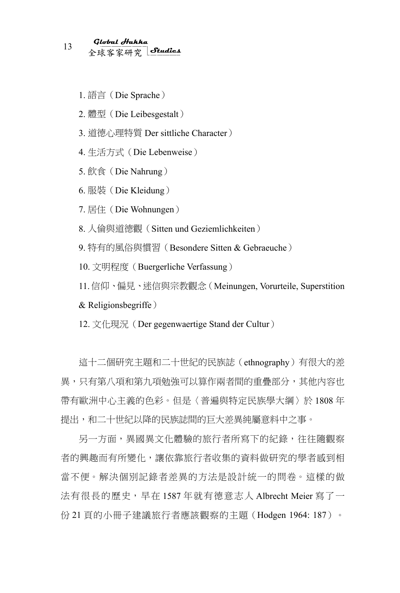- 1. 語言(Die Sprache)
- 2. 體型(Die Leibesgestalt)
- 3. 道德心理特質 Der sittliche Character)
- 4. 生活方式(Die Lebenweise)
- 5. 飲食(Die Nahrung)
- 6. 服裝(Die Kleidung)
- 7. 居住(Die Wohnungen)
- 8. 人倫與道德觀(Sitten und Geziemlichkeiten)
- 9. 特有的風俗與慣習(Besondere Sitten & Gebraeuche)
- 10. 文明程度(Buergerliche Verfassung)

11.信仰、偏見、迷信與宗教觀念(Meinungen, Vorurteile, Superstition & Religionsbegriffe)

12. 文化現況(Der gegenwaertige Stand der Cultur)

這十二個研究主題和二十世紀的民族誌(ethnography)有很大的差 異,只有第八項和第九項勉強可以算作兩者間的重疊部分,其他內容也 帶有歐洲中心主義的色彩。但是〈普遍與特定民族學大綱〉於 1808 年 提出,和二十世紀以降的民族誌間的巨大差異純屬意料中之事。

另一方面, 畢國畢文化體驗的旅行者所寫下的紀錄, 往往隨觀察 者的興趣而有所變化,讓依靠旅行者收集的資料做研究的學者感到相 當不便。解決個別記錄者差異的方法是設計統一的問卷。這樣的做 法有很長的歷史,早在 1587 年就有德意志人 Albrecht Meier 寫了一 份 21 頁的小冊子建議旅行者應該觀察的主題(Hodgen 1964: 187)。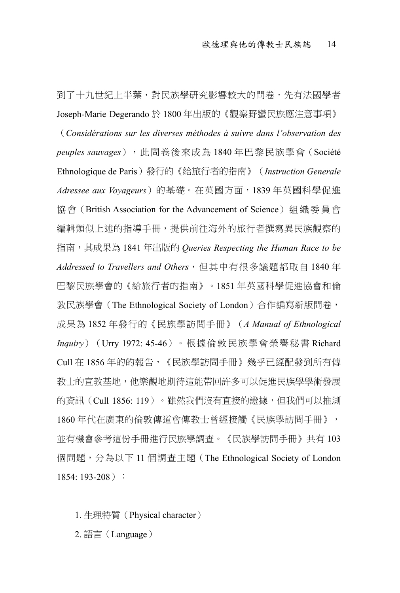到了十九世紀上半葉,對民族學研究影響較大的問卷,先有法國學者 Joseph-Marie Degerando 於 1800 年出版的《觀察野蠻民族應注意事項》 (*Considérations sur les diverses méthodes à suivre dans l'observation des peuples sauvages*),此問卷後來成為 1840 年巴黎民族學會(Société Ethnologique de Paris)發行的《給旅行者的指南》(*Instruction Generale Adressee aux Voyageurs*)的基礎。在英國方面,1839 年英國科學促進 協會 (British Association for the Advancement of Science) 組織委員會 编輯類似上述的指導手冊,提供前往海外的旅行者撰寫畢民族觀察的 指南,其成果為 1841 年出版的 *Queries Respecting the Human Race to be Addressed to Travellers and Others*,但其中有很多議題都取自 1840 年 巴黎民族學會的《給旅行者的指南》。1851 年英國科學促進協會和倫 敦民族學會(The Ethnological Society of London)合作編寫新版問卷, 成果為 1852 年發行的《民族學訪問手冊》(*A Manual of Ethnological Inquiry*)(Urry 1972: 45-46)。根據倫敦民族學會榮譽秘書 Richard Cull 在 1856 年的的報告,《民族學訪問手冊》幾乎已經配發到所有傳 教士的宣教基地,他樂觀地期待這能帶回許多可以促進民族學學術發展 的資訊(Cull 1856: 119)。雖然我們沒有直接的證據,但我們可以推測 1860 年代在廣東的倫敦傳道會傳教士曾經接觸《民族學訪問手冊》, 並有機會參考這份手冊進行民族學調查。《民族學訪問手冊》共有 103 個問題,分為以下 11 個調查主題(The Ethnological Society of London  $1854: 193-208$ :

- 1. 生理特質(Physical character)
- 2. 語言(Language)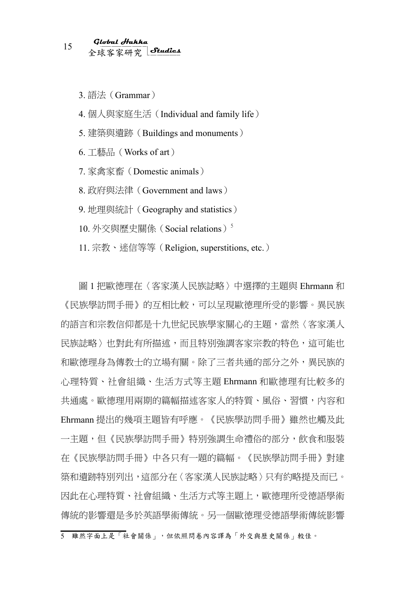3. 語法(Grammar)

4. 個人與家庭生活(Individual and family life)

5. 建築與遺跡(Buildings and monuments)

6. 工藝品(Works of art)

7. 家禽家畜(Domestic animals)

8. 政府與法律(Government and laws)

9. 地理與統計(Geography and statistics)

10. 外交與歷史關係 (Social relations)<sup>5</sup>

11. 宗教、迷信等等(Religion, superstitions, etc.)

圖 1 把歐德理在〈客家漢人民族誌略〉中選擇的主題與 Ehrmann 和 《民族學訪問手冊》的互相比較,可以呈現歐德理所受的影響。異民族 的語言和宗教信仰都是十九世紀民族學家關心的主題,當然〈客家漢人 民族誌略〉也對此有所描述,而且特別強調客家宗教的特色,這可能也 和歐德理身為傳教士的立場有關。除了三者共通的部分之外,異民族的 心理特質、社會組織、生活方式等主題 Ehrmann 和歐德理有比較多的 共通處。歐德理用兩期的篇幅描述客家人的特質、風俗、習慣,內容和 Ehrmann 提出的幾項主題皆有呼應。《民族學訪問手冊》雖然也觸及此 一主題,但《民族學訪問手冊》特別強調生命禮俗的部分,飲食和服裝 在《民族學訪問手冊》中各只有一題的篇幅。《民族學訪問手冊》對建 築和遺跡特別列出,這部分在〈客家漢人民族誌略〉只有約略提及而已。 因此在心理特質、社會組織、生活方式等主題上,歐德理所受德語學術 傳統的影響還是多於英語學術傳統。另一個歐德理受德語學術傳統影響

<sup>5</sup> 雖然字面上是「社會關係」,但依照問卷內容譯為「外交與歷史關係」較佳。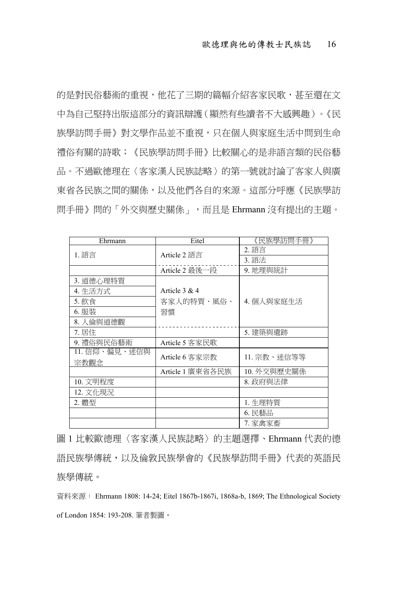的是對民俗藝術的重視,他花了三期的篇幅介紹客家民歌,甚至還在文 中為自己堅持出版這部分的資訊辯護(顯然有些讀者不大感興趣)。《民 族學訪問手冊》對文學作品並不重視,只在個人與家庭生活中問到生命 禮俗有關的詩歌;《民族學訪問手冊》比較關心的是非語言類的民俗藝 品。不過歐德理在〈客家漢人民族誌略〉的第一號就討論了客家人與廣 東省各民族之間的關係,以及他們各自的來源。這部分呼應《民族學訪 問手冊》問的「外交與歷史關係」,而且是 Ehrmann 沒有提出的主題。

| Ehrmann       | Eitel            | 《民族學訪問手冊》   |  |
|---------------|------------------|-------------|--|
| 1. 語言         | Article 2 語言     | 2. 語言       |  |
|               |                  | 3. 語法       |  |
|               | Article 2 最後一段   | 9. 地理與統計    |  |
| 3. 道德心理特質     |                  |             |  |
| 4. 生活方式       | Article $3 & 4$  |             |  |
| 5. 飲食         | 客家人的特質、風俗、       | 4. 個人與家庭生活  |  |
| 6. 服裝         | 習慣               |             |  |
| 8. 人倫與道德觀     |                  |             |  |
| 7. 居住         |                  | 5. 建築與遺跡    |  |
| 9. 禮俗與民俗藝術    | Article 5 客家民歌   |             |  |
| 11. 信仰、偏見、迷信與 | Article 6 客家宗教   | 11. 宗教、迷信等等 |  |
| 宗教觀念          |                  |             |  |
|               | Article 1 廣東省各民族 | 10. 外交與歷史關係 |  |
| 10. 文明程度      |                  | 8. 政府與法律    |  |
| 12. 文化現況      |                  |             |  |
| 2. 體型         |                  | 1. 生理特質     |  |
|               |                  | 6. 民藝品      |  |
|               |                  | 7. 家禽家畜     |  |

圖 1 比較歐德理〈客家漢人民族誌略〉的主題選擇、Ehrmann 代表的德 語民族學傳統,以及倫敦民族學會的《民族學訪問手冊》代表的英語民 族學傳統。

資料來源: Ehrmann 1808: 14-24; Eitel 1867b-1867i, 1868a-b, 1869; The Ethnological Society of London 1854: 193-208. 筆者製圖。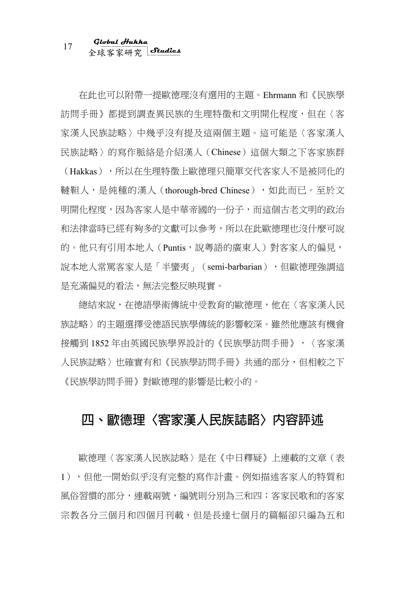# 全球客家研究 <sup>17</sup> **Global Hakka Studies**

在此也可以附帶一提歐德理沒有選用的主題。Ehrmann 和《民族學 訪問手冊》都提到調查異民族的生理特徵和文明開化程度,但在〈客 家漢人民族誌略〉中幾乎沒有提及這兩個主題。這可能是〈客家漢人 民族誌略〉的寫作脈絡是介紹漢人(Chinese)這個大類之下客家族群

(Hakkas),所以在生理特徵上歐德理只簡單交代客家人不是被同化的 韃靼人,是純種的漢人 (thorough-bred Chinese),如此而已。至於文 明開化程度,因為客家人是中華帝國的一份子,而這個古老文明的政治 和法律當時已經有夠多的文獻可以參考,所以在此歐德理也沒什麼可說 的。他只有引用本地人 (Puntis,說粵語的廣東人)對客家人的偏見, 說本地人常罵客家人是「半蠻夷」(semi-barbarian),但歐德理強調這 是充滿偏見的看法,無法完整反映現實。

總結來說,在德語學術傳統中受教育的歐德理,他在〈客家漢人民 族誌略〉的主題選擇受德語民族學傳統的影響較深。雖然他應該有機會 接觸到 1852 年由英國民族學界設計的《民族學訪問手冊》,〈客家漢 人民族誌略〉也確實有和《民族學訪問手冊》共通的部分,但相較之下 《民族學訪問手冊》對歐德理的影響是比較小的。

#### **四、歐德理〈客家漢人民族誌略〉內容評述**

歐德理〈客家漢人民族誌略〉是在《中日釋疑》上連載的文章(表 1),但他一開始似乎沒有完整的寫作計畫。例如描述客家人的特質和 風俗習慣的部分,連載兩號,編號則分別為三和四;客家民歌和的客家 宗教各分三個月和四個月刊載,但是長達七個月的篇幅卻只編為五和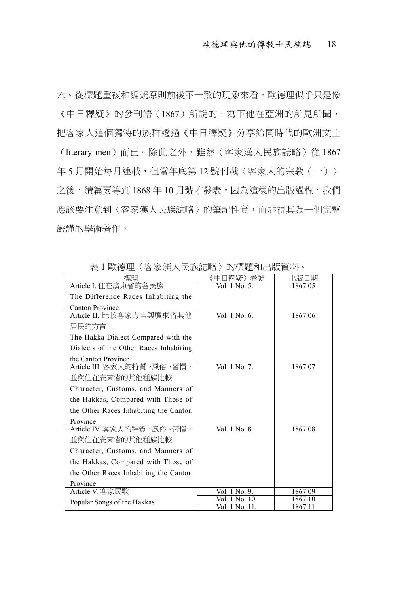六。從標題重複和編號原則前後不一致的現象來看,歐德理似乎只是像 《中日釋疑》的發刊語(1867)所說的,寫下他在亞洲的所見所聞, 把客家人這個獨特的族群透過《中日釋疑》分享給同時代的歐洲文士

(literary men)而已。除此之外,雖然〈客家漢人民族誌略〉從 1867 年5月開始每月連載,但當年底第12號刊載〈客家人的宗教(一)〉 之後,續篇要等到 1868 年 10 月號才發表。因為這樣的出版過程,我們 應該要注意到〈客家漢人民族誌略〉的筆記性質,而非視其為一個完整 嚴謹的學術著作。

| 標題                                     | 中日釋疑》卷號        | 出版日期    |
|----------------------------------------|----------------|---------|
| Article I. 住在廣東省的各民族                   | Vol. 1 No. 5.  | 1867.05 |
| The Difference Races Inhabiting the    |                |         |
| <b>Canton Province</b>                 |                |         |
| Article II. 比較客家方言與廣東省其他               | Vol. 1 No. 6.  | 1867.06 |
| 居民的方言                                  |                |         |
| The Hakka Dialect Compared with the    |                |         |
| Dialects of the Other Races Inhabiting |                |         |
| the Canton Province                    |                |         |
| Article III. 客家人的特質、風俗、習慣,             | Vol. 1 No. 7.  | 1867.07 |
| 並與住在廣東省的其他種族比較                         |                |         |
| Character, Customs, and Manners of     |                |         |
| the Hakkas, Compared with Those of     |                |         |
| the Other Races Inhabiting the Canton  |                |         |
| Province                               |                |         |
| Article IV. 客家人的特質、風俗、習慣,              | Vol. 1 No. 8.  | 1867.08 |
| 並與住在廣東省的其他種族比較                         |                |         |
| Character, Customs, and Manners of     |                |         |
| the Hakkas, Compared with Those of     |                |         |
| the Other Races Inhabiting the Canton  |                |         |
| Province                               |                |         |
| Article V. 客家民歌                        | Vol. 1 No. 9.  | 1867.09 |
| Popular Songs of the Hakkas            | Vol. 1 No. 10. | 1867.10 |
|                                        | Vol. 1 No. 11. | 1867.11 |

表 1 歐德理〈客家漢人民族誌略〉的標題和出版資料。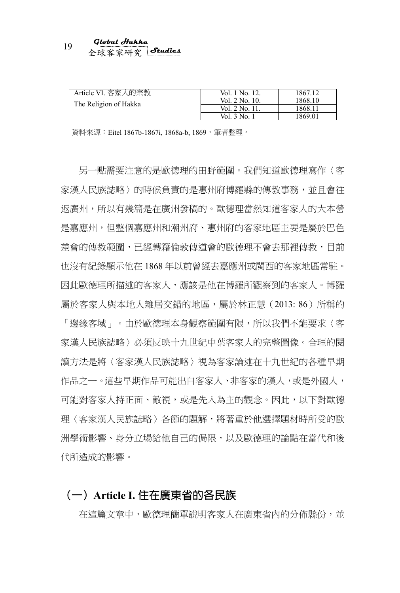# 全球客家研究 <sup>19</sup> **Global Hakka Studies**

| Article VI. 客家人的宗教    | Vol. 1 No. 12. | 1867.12 |
|-----------------------|----------------|---------|
| The Religion of Hakka | Vol. 2 No. 10. | 1868.10 |
|                       | Vol. 2 No. 11  | 1868 11 |
|                       | Vol. 3 No.     | 1869.01 |

資料來源:Eitel 1867b-1867i, 1868a-b, 1869,筆者整理。

另一點需要注意的是歐德理的田野範圍。我們知道歐德理寫作〈客 家漢人民族誌略〉的時候負責的是惠州府博羅縣的傳教事務,並且會往 返廣州,所以有幾篇是在廣州發稿的。歐德理當然知道客家人的大本營 是嘉應州,但整個嘉應州和潮州府、惠州府的客家地區主要是屬於巴色 差會的傳教範圍,已經轉籍倫敦傳道會的歐德理不會去那裡傳教,目前 也沒有紀錄顯示他在 1868 年以前曾經去嘉應州或閩西的客家地區常駐。 因此歐德理所描述的客家人,應該是他在博羅所觀察到的客家人。博羅 屬於客家人與本地人雜居交錯的地區,屬於林正慧(2013: 86)所稱的 「邊緣客域」。由於歐德理本身觀察範圍有限,所以我們不能要求〈客 家漢人民族誌略〉必須反映十九世紀中葉客家人的完整圖像。合理的閱 讀方法是將〈客家漢人民族誌略〉視為客家論述在十九世紀的各種早期 作品之一。這些早期作品可能出自客家人、非客家的漢人,或是外國人, 可能對客家人持正面、敵視,或是先入為主的觀念。因此,以下對歐德 理〈客家漢人民族誌略〉各節的題解,將著重於他選擇題材時所受的歐 洲學術影響、身分立場給他自己的侷限,以及歐德理的論點在當代和後 代所造成的影響。

#### **(一)Article I. 住在廣東省的各民族**

在這篇文章中,歐德理簡單說明客家人在廣東省內的分佈縣份,並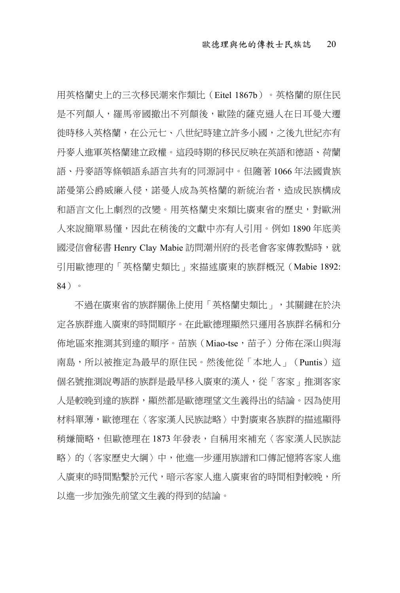用英格蘭史上的三次移民潮來作類比(Eitel 1867b)。英格蘭的原住民 是不列顛人,羅馬帝國撤出不列顛後,歐陸的薩克遜人在日耳曼大遷 徙時移入英格蘭,在公元七、八世紀時建立許多小國,之後九世紀亦有 丹麥人進軍英格蘭建立政權。這段時期的移民反映在英語和德語、荷蘭 語、丹麥語等條頓語系語言共有的同源詞中。但隨著 1066 年法國貴族 諾曼第公爵威廉入侵,諾曼人成為英格蘭的新統治者,造成民族構成 和語言文化上劇烈的改變。用英格蘭史來類比廣東省的歷史,對歐洲 人來說簡單易懂,因此在稍後的文獻中亦有人引用。例如 1890年底美 國浸信會秘書 Henry Clay Mabie 訪問潮州府的長老會客家傳教點時,就 引用歐德理的「英格蘭史類比」來描述廣東的族群概況(Mabie 1892: 84)。

不過在廣東省的族群關係上使用「英格蘭史類比」,其關鍵在於決 定各族群進入廣東的時間順序。在此歐德理顯然只運用各族群名稱和分 佈地區來推測其到達的順序。苗族(Miao-tse,苗子)分佈在深山與海 南島,所以被推定為最早的原住民。然後他從「本地人」(Puntis)這 個名號推測說粵語的族群是最早移入廣東的漢人,從「客家」推測客家 人是較晚到達的族群,顯然都是歐德理望文生義得出的結論。因為使用 材料單薄,歐德理在〈客家漢人民族誌略〉中對廣東各族群的描述顯得 稍嫌簡略,但歐德理在 1873 年發表,自稱用來補充〈客家漢人民族誌 略〉的〈客家歷史大綱〉中,他進一步運用族譜和口傳記憶將客家人進 入廣東的時間點繫於元代,暗示客家人進入廣東省的時間相對較晚,所 以進一步加強先前望文生義的得到的結論。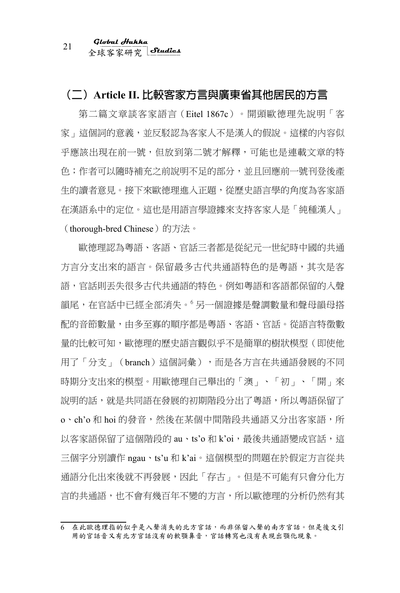全球客家研究 <sup>21</sup> **Global Hakka Studies**

#### **(二)Article II. 比較客家方言與廣東省其他居民的方言**

第二篇文章談客家語言(Eitel 1867c)。開頭歐德理先說明「客 家」這個詞的意義,並反駁認為客家人不是漢人的假說。這樣的內容似 乎應該出現在前一號,但放到第二號才解釋,可能也是連載文章的特 色;作者可以隨時補充之前說明不足的部分,並且回應前一號刊登後產 生的讀者意見。接下來歐德理進入正題,從歷史語言學的角度為客家語 在漢語系中的定位。這也是用語言學證據來支持客家人是「純種漢人」 (thorough-bred Chinese)的方法。

歐德理認為粵語、客語、官話三者都是從紀元一世紀時中國的共通 方言分支出來的語言。保留最多古代共通語特色的是粵語,其次是客 語,官話則丟失很多古代共通語的特色。例如粵語和客語都保留的入聲 韻尾,在官話中已經全部消失。 另一個證據是聲調數量和聲母韻母搭 配的音節數量,由多至寡的順序都是粵語、客語、官話。從語言特徵數 量的比較可知,歐德理的歷史語言觀似乎不是簡單的樹狀模型(即使他 用了「分支」(branch)這個詞彙),而是各方言在共通語發展的不同 時期分支出來的模型。用歐德理自己舉出的「澳」、「初」、「開」來 說明的話,就是共同語在發展的初期階段分出了粵語,所以粵語保留了 o、ch'o 和 hoi 的發音,然後在某個中間階段共通語又分出客家語,所 以客家語保留了這個階段的 au、ts'o 和 k'oi,最後共通語變成官話,這 三個字分別讀作 ngau、ts'u 和 k'ai。這個模型的問題在於假定方言從共 通語分化出來後就不再發展,因此「存古」。但是不可能有只會分化方 言的共通語,也不會有幾百年不變的方言,所以歐德理的分析仍然有其

<sup>6</sup> 在此歐德理指的似乎是入聲消失的北方官話,而非保留入聲的南方官話。但是後文引 用的官話音又有北方官話沒有的軟顎鼻音,官話轉寫也沒有表現出顎化現象。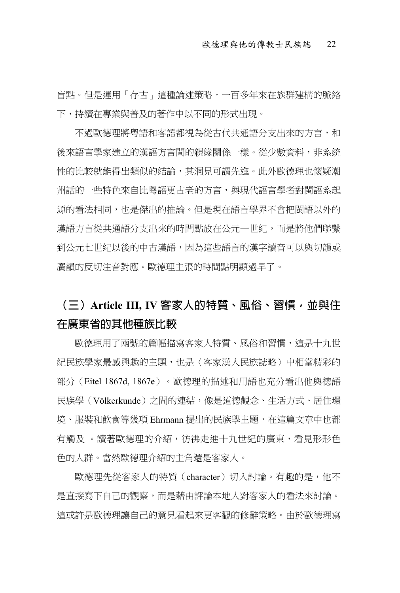盲點。但是運用「存古」這種論述策略,一百多年來在族群建構的脈絡 下,持續在專業與普及的著作中以不同的形式出現。

不過歐德理將粵語和客語都視為從古代共通語分支出來的方言,和 後來語言學家建立的漢語方言間的親緣關係一樣。從少數資料,非系統 性的比較就能得出類似的結論,其洞見可謂先進。此外歐德理也懷疑潮 州話的一些特色來自比粵語更古老的方言,與現代語言學者對閩語系起 源的看法相同,也是傑出的推論。但是現在語言學界不會把閩語以外的 漢語方言從共通語分支出來的時間點放在公元一世紀,而是將他們聯繫 到公元七世紀以後的中古漢語,因為這些語言的漢字讀音可以與切韻或 廣韻的反切注音對應。歐德理主張的時間點明顯過早了。

### **(三)Article III, IV 客家人的特質、風俗、習慣,並與住 在廣東省的其他種族比較**

歐德理用了兩號的篇幅描寫客家人特質、風俗和習慣,這是十九世 紀民族學家最感興趣的主題,也是〈客家漢人民族誌略〉中相當精彩的 部分(Eitel 1867d, 1867e)。歐德理的描述和用語也充分看出他與德語 民族學(Völkerkunde)之間的連結,像是道德觀念、生活方式、居住環 境、服裝和飲食等幾項 Ehrmann 提出的民族學主題,在這篇文章中也都 有觸及 。 漕著歐德理的介紹,彷彿走谁十九世紀的廣東,看見形形色 色的人群。當然歐德理介紹的主角還是客家人。

歐德理先從客家人的特質(character)切入討論。有趣的是,他不 是直接寫下自己的觀察,而是藉由評論本地人對客家人的看法來討論。 這或許是歐德理讓自己的意見看起來更客觀的修辭策略。由於歐德理寫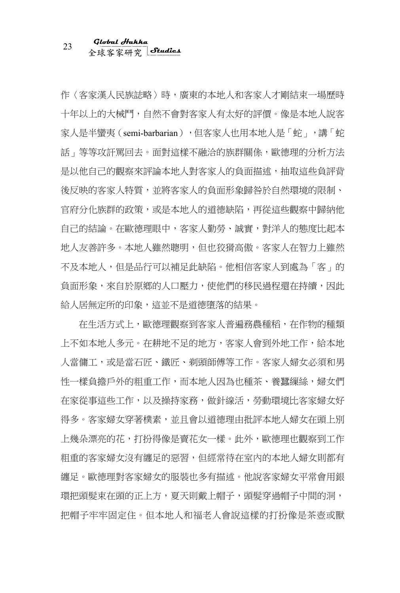作〈客家漢人民族誌略〉時,廣東的本地人和客家人才剛結束一場歷時 十年以上的大械鬥,自然不會對客家人有太好的評價。像是本地人說客 家人是半蠻夷(semi-barbarian),但客家人也用本地人是「蛇」,講「蛇 話」等等攻訐罵回去。面對這樣不融洽的族群關係,歐德理的分析方法 是以他自己的觀察來評論本地人對客家人的負面描述,抽取這些負評背 後反映的客家人特質,並將客家人的負面形象歸咎於自然環境的限制、 官府分化族群的政策,或是本地人的道德缺陷,再從這些觀察中歸納他 自己的結論。在歐德理眼中,客家人勤勞、誠實,對洋人的態度比起本 地人友善許多。本地人雖然聰明,但也狡猾高傲。客家人在智力上雖然 不及本地人,但是品行可以補足此缺陷。他相信客家人到處為「客」的 負面形象,來自於原鄉的人口壓力,使他們的移民過程還在持續,因此 給人居無定所的印象,這並不是道德墮落的結果。

在生活方式上,歐德理觀察到客家人普遍務農種稻,在作物的種類 上不如本地人多元。在耕地不足的地方,客家人會到外地工作,給本地 人當傭工,或是當石匠、鐵匠、剃頭師傅等工作。客家人婦女必須和男 性一樣負擔戶外的粗重工作,而本地人因為也種茶、養蠶繅絲,婦女們 在家從事這些工作,以及操持家務,做針線活,勞動環境比客家婦女好 得多。客家婦女穿著樸素,並且會以道德理由批評本地人婦女在頭上別 上幾朵漂亮的花,打扮得像是賣花女一樣。此外,歐德理也觀察到工作 粗重的客家婦女沒有纏足的惡習,但經常待在室內的本地人婦女則都有 纏足。歐德理對客家婦女的服裝也多有描述。他說客家婦女平常會用銀 環把頭髮束在頭的正上方,夏天則戴上帽子,頭髮穿過帽子中間的洞, 把帽子牢牢固定住。但本地人和福老人會說這樣的打扮像是茶壺或獸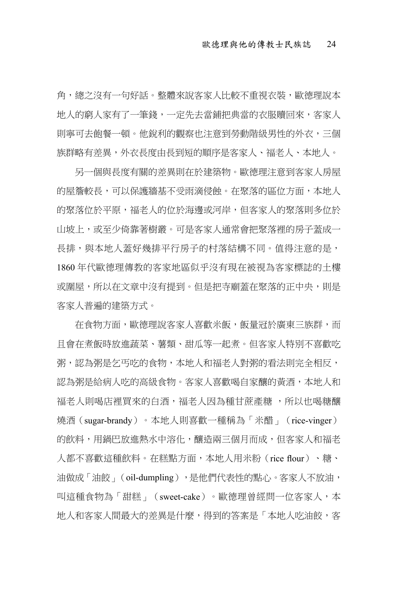角,總之沒有一句好話。整體來說客家人比較不重視衣裝,歐德理說本 地人的窮人家有了一筆錢,一定先去當鋪把典當的衣服贖回來,客家人 則寧可去飽餐一頓。他銳利的觀察也注意到勞動階級男性的外衣,三個 族群略有差異,外衣長度由長到短的順序是客家人、福老人、本地人。

另一個與長度有關的差異則在於建築物。歐德理注意到客家人房屋 的屋簷較長,可以保護牆基不受雨滴侵蝕。在聚落的區位方面,本地人 的聚落位於平原,福老人的位於海邊或河岸,但客家人的聚落則多位於 山坡上,或至少倚靠著樹叢。可是客家人通常會把聚落裡的房子蓋成一 長排,與本地人蓋好幾排平行房子的村落結構不同。值得注意的是, 1860 年代歐德理傳教的客家地區似乎沒有現在被視為客家標誌的土樓 或圍屋,所以在文章中沒有提到。但是把寺廟蓋在聚落的正中央,則是 客家人普遍的建築方式。

在食物方面,歐德理說客家人喜歡米飯,飯量冠於廣東三族群,而 且會在煮飯時放進蔬菜、薯類、甜瓜等一起煮。但客家人特別不喜歡吃 粥,認為粥是乞丐吃的食物,本地人和福老人對粥的看法則完全相反, 認為粥是給病人吃的高級食物。客家人喜歡喝自家釀的黃酒,本地人和 福老人則喝店裡買來的白酒,福老人因為種甘蔗產糖 ,所以也喝糖釀 燒酒(sugar-brandy)。本地人則喜歡一種稱為「米醋」(rice-vinger) 的飲料,用鍋巴放進熱水中溶化,釀造兩三個月而成,但客家人和福老 人都不喜歡這種飲料。在糕點方面,本地人用米粉(rice flour)、糖、 油做成「油餃」(oil-dumpling),是他們代表性的點心。客家人不放油, 叫這種食物為「甜糕」(sweet-cake)。歐德理曾經問一位客家人,本 地人和客家人間最大的差異是什麼,得到的答案是「本地人吃油餃,客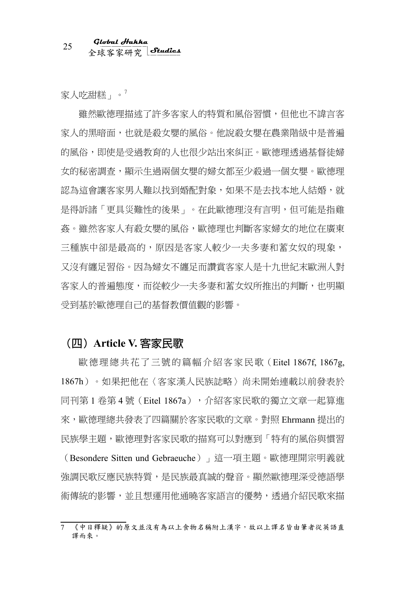家人吃甜糕」。<sup>7</sup>

雖然歐德理描述了許多客家人的特質和風俗習慣,但他也不諱言客 家人的黑暗面,也就是殺女嬰的風俗。他說殺女嬰在農業階級中是普遍 的風俗,即使是受過教育的人也很少站出來糾正。歐德理透過基督徒婦 女的秘密調查,顯示生過兩個女嬰的婦女都至少殺過一個女嬰。歐德理 認為這會讓客家男人難以找到婚配對象,如果不是去找本地人結婚,就 是得訴諸「更具災難性的後果」。在此歐德理沒有言明,但可能是指雞 姦。雖然客家人有殺女嬰的風俗,歐德理也判斷客家婦女的地位在廣東 三種族中卻是最高的,原因是客家人較少一夫多妻和蓄女奴的現象, 又沒有纏足習俗。因為婦女不纏足而讚賞客家人是十九世紀末歐洲人對 客家人的普遍態度,而從較少一夫多妻和蓄女奴所推出的判斷,也明顯 受到基於歐德理自己的基督教價值觀的影響。

#### **(四)Article V. 客家民歌**

歐德理總共花了三號的篇幅介紹客家民歌(Eitel 1867f, 1867g, 1867h)。如果把他在〈客家漢人民族誌略〉尚未開始連載以前發表於 同刊第 1 卷第 4 號 (Eitel 1867a),分紹客家民歌的獨立文章一起算進 來,歐德理總共發表了四篇關於客家民歌的文章。對照 Ehrmann 提出的 民族學主題,歐德理對客家民歌的描寫可以對應到「特有的風俗與慣習

(Besondere Sitten und Gebraeuche)」這一項主題。歐德理開宗明義就 強調民歌反應民族特質,是民族最真誠的聲音。顯然歐德理深受德語學 術傳統的影響,並且想運用他涌曉客家語言的優勢,诱過介紹民歌來描

<sup>7</sup> 《中日釋疑》的原文並沒有為以上食物名稱附上漢字,故以上譯名皆由筆者從英語直 譯而來。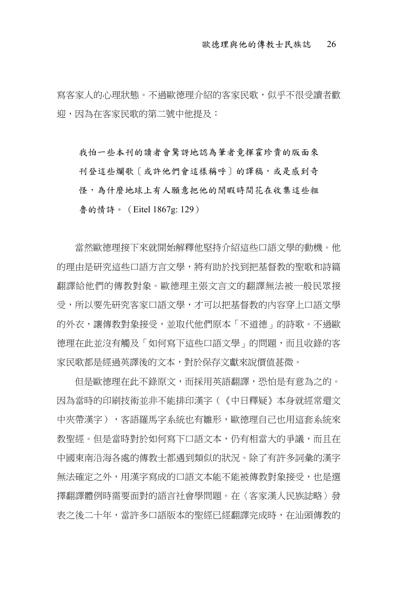寫客家人的心理狀態。不過歐德理介紹的客家民歌,似乎不很受讀者歡 迎,因為在客家民歌的第二號中他提及:

我怕一些本刊的讀者會驚訝地認為筆者竟揮霍珍貴的版面來 刊登這些爛歌「或許他們會這樣稱呼〕的譯稿,或是感到奇 怪,為什麼地球上有人願意把他的閒暇時間花在收集這些粗 魯的情詩。(Eitel 1867g: 129)

當然歐德理接下來就開始解釋他堅持介紹這些口語文學的動機。他 的理由是研究這些口語方言文學,將有助於找到把基督教的聖歌和詩篇 翻譯給他們的傳教對象。歐德理主張文言文的翻譯無法被一般民眾接 受,所以要先研究客家口語文學,才可以把基督教的內容穿上口語文學 的外衣,讓傳教對象接受,並取代他們原本「不道德」的詩歌。不過歐 德理在此並沒有觸及「如何寫下這些口語文學」的問題,而且收錄的客 家民歌都是經過英譯後的文本,對於保存文獻來說價值甚微。

但是歐德理在此不錄原文,而採用英語翻譯,恐怕是有意為之的。 因為當時的印刷技術並非不能排印漢字(《中日釋疑》本身就經常還文 中夾帶漢字),客語羅馬字系統也有雛形,歐德理自己也用這套系統來 教聖經。但是當時對於如何寫下口語文本,仍有相當大的爭議,而且在 中國東南沿海各處的傳教士都遇到類似的狀況。除了有許多詞彙的漢字 無法確定之外,用漢字寫成的口語文本能不能被傳教對象接受,也是選 擇翻譯體例時需要面對的語言社會學問題。在〈客家漢人民族誌略〉發 表之後二十年,當許多口語版本的聖經已經翻譯完成時,在汕頭傳教的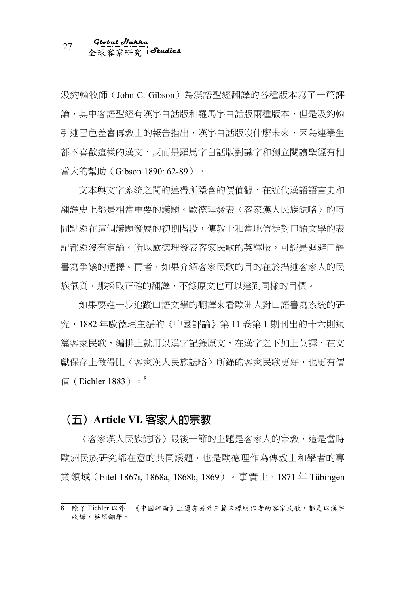汲約翰牧師(John C. Gibson)為漢語聖經翻譯的各種版本寫了一篇評 論,其中客語聖經有漢字白話版和羅馬字白話版兩種版本,但是汲約翰 引述巴色差會傳教士的報告指出,漢字白話版沒什麼未來,因為連學生 都不喜歡這樣的漢文,反而是羅馬字白話版對識字和獨立閱讀聖經有相 當大的幫助 ( Gibson 1890: 62-89) 。

文本與文字系統之間的連帶所隱含的價值觀,在近代漢語語言史和 翻譯史上都是相當重要的議題。歐德理發表〈客家漢人民族誌略〉的時 間點還在這個議題發展的初期階段,傳教士和當地信徒對口語文學的表 記都還沒有定論。所以歐德理發表客家民歌的英譯版,可說是迴避口語 書寫爭議的選擇。再者,如果介紹客家民歌的目的在於描述客家人的民 族氣質,那採取正確的翻譯,不錄原文也可以達到同樣的目標。

如果要進一步追蹤口語文學的翻譯來看歐洲人對口語書寫系統的研 究,1882 年歐德理主編的《中國評論》第 11 卷第 1 期刊出的十六則短 篇客家民歌,編排上就用以漢字記錄原文,在漢字之下加上英譯,在文 獻保存上做得比〈客家漢人民族誌略〉所錄的客家民歌更好,也更有價 值(Eichler 1883)。<sup>8</sup>

#### **(五)Article VI. 客家人的宗教**

〈客家漢人民族誌略〉最後一節的主題是客家人的宗教,這是當時 歐洲民族研究都在意的共同議題,也是歐德理作為傳教士和學者的專 業領域(Eitel 1867i, 1868a, 1868b, 1869)。事實上,1871 年 Tübingen

<sup>8</sup> 除了 Eichler 以外,《中國評論》上還有另外三篇未標明作者的客家民歌,都是以漢字 收錄,英語翻譯。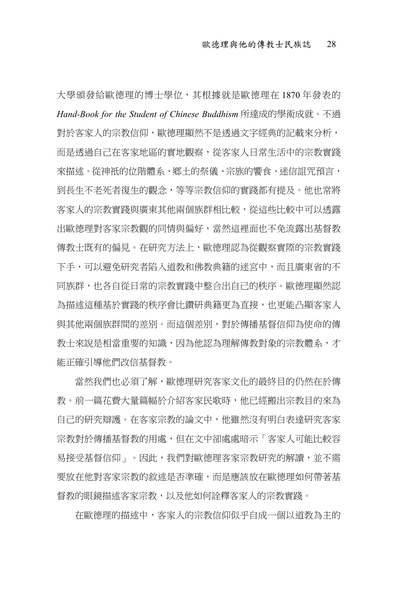大學頒發給歐德理的博士學位,其根據就是歐德理在 1870 年發表的 *Hand-Book for the Student of Chinese Buddhism* 所達成的學術成就。不過 對於客家人的宗教信仰,歐德理顯然不是透過文字經典的記載來分析, 而是透過自己在客家地區的實地觀察,從客家人日常生活中的宗教實踐 來描述。從神祇的位階體系、鄉土的祭儀、宗族的響食、迷信詛咒預言, 到長生不老死者復生的觀念,等等宗教信仰的實踐都有提及。他也常將 客家人的宗教實踐與廣東其他兩個族群相比較,從這些比較中可以透露 出歐德理對客家宗教觀的同情與偏好,當然這裡面也不免流露出基督教 傳教士既有的偏見。在研究方法上,歐德理認為從觀察實際的宗教實踐 下手,可以避免研究者陷入道教和佛教典籍的迷宮中,而且廣東省的不 同族群,也各自從日常的宗教實踐中整合出自己的秩序。歐德理顯然認 為描述這種基於實踐的秩序會比鑽研典籍更為直接,也更能凸顯客家人 與其他兩個族群間的差別。而這個差別,對於傳播基督信仰為使命的傳 教士來說是相當重要的知識,因為他認為理解傳教對象的宗教體系,才 能正確引導他們改信基督教。

當然我們也必須了解,歐德理研究客家文化的最終目的仍然在於傳 教。前一篇花費大量篇幅於介紹客家民歌時,他已經搬出宗教目的來為 自己的研究辯護。在客家宗教的論文中,他雖然沒有明白表達研究客家 宗教對於傳播基督教的用處,但在文中卻處處暗示「客家人可能比較容」 易接受基督信仰」。因此,我們對歐德理客家宗教研究的解讀,並不需 要放在他對客家宗教的敘述是否準確,而是應該放在歐德理如何帶著基 督教的眼鏡描述客家宗教,以及他如何詮釋客家人的宗教實踐。

在歐德理的描述中,客家人的宗教信仰似乎自成一個以道教為主的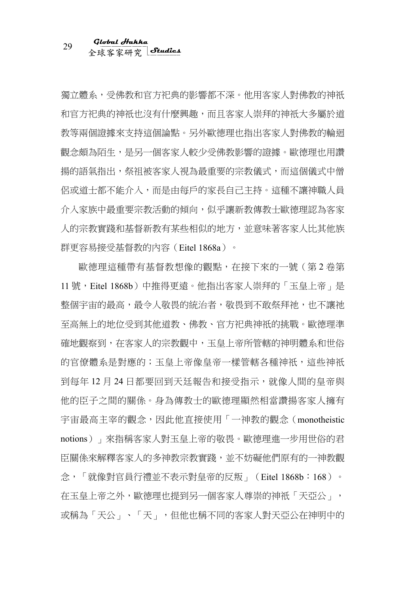獨立體系,受佛教和官方祀典的影響都不深。他用客家人對佛教的神祇 和官方祀典的神祇也沒有什麼興趣,而且客家人崇拜的神祇大多屬於道 教等兩個證據來支持這個論點。另外歐德理也指出客家人對佛教的輪迴 觀念頗為陌生,是另一個客家人較少受佛教影響的證據。歐德理也用讚 揚的語氣指出,祭祖被客家人視為最重要的宗教儀式,而這個儀式中僧 侶或道士都不能介入,而是由每戶的家長自己主持。這種不讓神職人員 介入家族中最重要宗教活動的傾向,似乎讓新教傳教士歐德理認為客家 人的宗教實踐和基督新教有某些相似的地方,並意味著客家人比其他族 群更容易接受基督教的內容(Eitel 1868a)。

歐德理這種帶有基督教想像的觀點,在接下來的一號(第 2 卷第 11 號,Eitel 1868b)中推得更遠。他指出客家人崇拜的「玉皇上帝」是 整個宇宙的最高,最令人敬畏的統治者,敬畏到不敢祭拜祂,也不讓祂 至高無上的地位受到其他道教、佛教、官方祀典神祇的挑戰。歐德理準 確地觀察到,在客家人的宗教觀中,玉皇上帝所管轄的神明體系和世俗 的官僚體系是對應的;玉皇上帝像皇帝一樣管轄各種神祇,這些神祇 到每年 12 月 24 日都要回到天廷報告和接受指示,就像人間的皇帝與 他的臣子之間的關係。身為傳教士的歐德理顯然相當讚揚客家人擁有 宇宙最高主宰的觀念,因此他直接使用「一神教的觀念(monotheistic notions)」來指稱客家人對玉皇上帝的敬畏。歐德理進一步用世俗的君 臣關係來解釋客家人的多神教宗教實踐,並不妨礙他們原有的一神教觀 念,「就像對官員行禮並不表示對皇帝的反叛」(Eitel 1868b:168)。 在玉皇上帝之外,歐德理也提到另一個客家人尊崇的神祇「天亞公」, 或稱為「天公」、「天」,但他也稱不同的客家人對天亞公在神明中的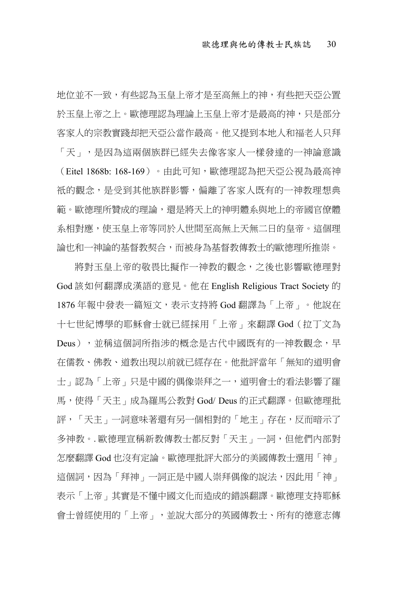地位並不一致,有些認為玉皇上帝才是至高無上的神,有些把天亞公置 於玉皇上帝之皇,歐德理認為理論上玉皇上帝才是最高的神,只是部分 客家人的宗教實踐却把天亞公當作最高。他又提到本地人和福老人只拜 「天」,是因為這兩個族群已經失去像客家人一樣發達的一神論意識 (Eitel 1868b: 168-169)。由此可知,歐德理認為把天亞公視為最高神 祇的觀念,是受到其他族群影響,偏離了客家人既有的一神教理想典 範。歐德理所贊成的理論,還是將天上的神明體系與地上的帝國官僚體 系相對應,使玉皇上帝等同於人世間至高無上天無二日的皇帝。這個理 論也和一神論的基督教契合,而被身為基督教傳教士的歐德理所推崇。

將對玉皇上帝的敬畏比擬作一神教的觀念,之後也影響歐德理對 God 該如何翻譯成漢語的意見。他在 English Religious Tract Society 的 1876 年報中發表一篇短文,表示支持將 God 翻譯為「上帝」。他說在 十七世紀博學的耶穌會士就已經採用「上帝」來翻譯 God(拉丁文為 Deus), 並稱這個詞所指涉的概念是古代中國既有的一神教觀念, 早 在儒教、佛教、道教出現以前就已經存在。他批評當年「無知的道明會 士」認為「上帝」只是中國的偶像崇拜之一,道明會士的看法影響了羅 馬,使得「天主」成為羅馬公教對 God/ Deus 的正式翻譯。但歐德理批 評,「天主」一詞意味著還有另一個相對的「地主」存在,反而暗示了 多神教。. 歐德理宣稱新教傳教士都反對「天主」一詞,但他們內部對 怎麼翻譯 God 也沒有定論。歐德理批評大部分的美國傳教士選用「神」 這個詞,因為「拜神」一詞正是中國人崇拜偶像的說法,因此用「神」 表示「上帝」其實是不懂中國文化而造成的錯誤翻譯。歐德理支持耶穌 會士曾經使用的「上帝」,並說大部分的英國傳教士、所有的德意志傳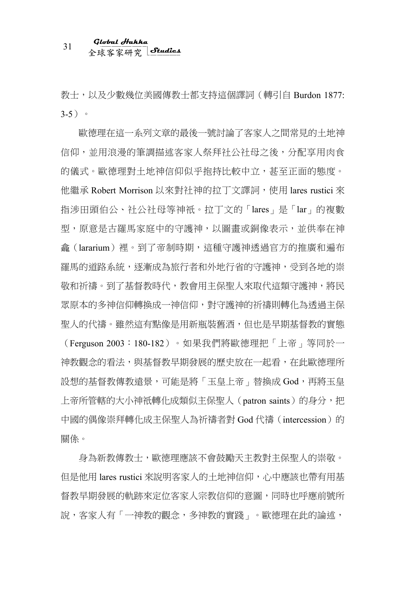# 全球客家研究 <sup>31</sup> **Global Hakka Studies**

教士,以及少數幾位美國傳教士都支持這個譯詞(轉引自 Burdon 1877: 3-5)。

歐德理在這一系列文章的最後一號討論了客家人之間常見的土地神 信仰,並用浪漫的筆調描述客家人祭拜社公社母之後,分配享用肉食 的儀式。歐德理對土地神信仰似乎抱持比較中立,甚至正面的態度。 他繼承 Robert Morrison 以來對社神的拉丁文譯詞,使用 lares rustici 來 指涉田頭伯公、社公社母等神祇。拉丁文的「lares」是「lar」的複數 型,原意是古羅馬家庭中的守護神,以圖畫或銅像表示,並供奉在神 龕(lararium)裡。到了帝制時期,這種守護神透過官方的推廣和遍布 羅馬的道路系統,逐漸成為旅行者和外地行省的守護神,受到各地的崇 敬和祈禱。到了基督教時代,教會用主保聖人來取代這類守護神,將民 眾原本的多神信仰轉換成一神信仰,對守護神的祈禱則轉化為透過主保 聖人的代禱。雖然這有點像是用新瓶裝舊酒,但也是早期基督教的實態 (Ferguson 2003:180-182)。如果我們將歐德理把「上帝」等同於一 神教觀念的看法,與基督教早期發展的歷史放在一起看,在此歐德理所 設想的基督教傳教遠景,可能是將「玉皇上帝」替換成 God,再將玉皇 上帝所管轄的大小神祇轉化成類似主保聖人 (patron saints) 的身分,把 中國的偶像崇拜轉化成主保聖人為祈禱者對 God 代禱 (intercession)的 關係。

身為新教傳教士,歐德理應該不會鼓勵天主教對主保聖人的崇敬。 但是他用 lares rustici 來說明客家人的土地神信仰,心中應該也帶有用基 督教早期發展的軌跡來定位客家人宗教信仰的意圖,同時也呼應前號所 說,客家人有「一神教的觀念,多神教的實踐」。歐德理在此的論述,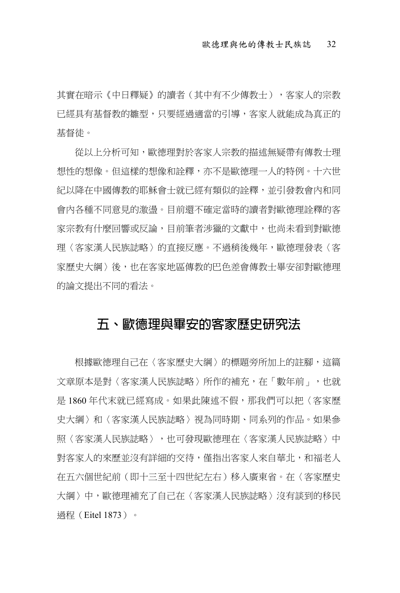其實在暗示《中日釋疑》的讀者(其中有不少傳教十),客家人的宗教 已經具有基督教的雛型,只要經過適當的引導,客家人就能成為真正的 基督徒。

從以上分析可知,歐德理對於客家人宗教的描述無疑帶有傳教士理 想性的想像。但這樣的想像和詮釋,亦不是歐德理一人的特例。十六世 紀以降在中國傳教的耶穌會士就已經有類似的詮釋,並引發教會內和同 會內各種不同意見的激盪。目前還不確定當時的讀者對歐德理詮釋的客 家宗教有什麼回響或反論,目前筆者涉獵的文獻中,也尚未看到對歐德 理〈客家漢人民族誌略〉的直接反應。不過稍後幾年,歐德理發表〈客 家歷史大綱〉後,也在客家地區傳教的巴色差會傳教士畢安卻對歐德理 的論文提出不同的看法。

#### **五、歐德理與畢安的客家歷史研究法**

根據歐德理自己在〈客家歷史大綱〉的標題旁所加上的註腳,這篇 文章原本是對〈客家漢人民族誌略〉所作的補充,在「數年前」,也就 是 1860 年代末就已經寫成。如果此陳述不假,那我們可以把〈客家歷 史大綱〉和〈客家漢人民族誌略〉視為同時期、同系列的作品。如果參 照〈客家漢人民族誌略〉,也可發現歐德理在〈客家漢人民族誌略〉中 對客家人的來歷並沒有詳細的交待,僅指出客家人來自華北,和福老人 在五六個世紀前(即十三至十四世紀左右)移入廣東省。在〈客家歷史 大綱〉中,歐德理補充了自己在〈客家漢人民族誌略〉沒有談到的移民 過程(Eitel 1873)。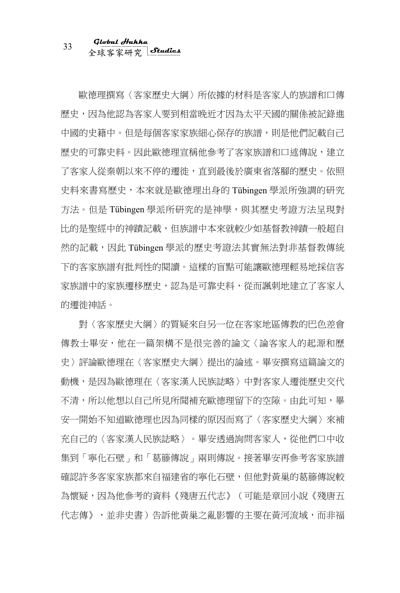# 全球客家研究 <sup>33</sup> **Global Hakka Studies**

歐德理撰寫〈客家歷史大綱〉所依據的材料是客家人的族譜和口傳 歷史,因為他認為客家人要到相當晚近才因為太平天國的關係被記錄進 中國的史籍中。但是每個客家家族細心保存的族譜,則是他們記載自己 歷史的可靠史料。因此歐德理宣稱他參考了客家族譜和口述傳說,建立 了客家人從秦朝以來不停的遷徙,直到最後於廣東省落腳的歷史。依照 史料來書寫歷史,本來就是歐德理出身的 Tübingen 學派所強調的研究 方法。但是 Tübingen 學派所研究的是神學,與其歷史考證方法呈現對 比的是聖經中的神蹟記載,但族譜中本來就較少如基督教神蹟一般超自 然的記載,因此 Tübingen 學派的歷史考證法其實無法對非基督教傳統 下的客家族譜有批判性的閱讀。這樣的盲點可能讓歐德理輕易地採信客 家族譜中的家族遷移歷史,認為是可靠史料,從而諷刺地建立了客家人 的遷徙神話。

對〈客家歷史大綱〉的質疑來自另一位在客家地區傳教的巴色差會 傳教士畢安,他在一篇架構不是很完善的論文〈論客家人的起源和歷 史〉評論歐德理在〈客家歷史大綱〉提出的論述。畢安撰寫這篇論文的 動機,是因為歐德理在〈客家漢人民族誌略〉中對客家人遷徙歷史交代 不清,所以他想以自己所見所聞補充歐德理留下的空隙。由此可知,畢 安一開始不知道歐德理也因為同樣的原因而寫了〈客家歷史大綱〉來補 充自己的〈客家漢人民族誌略〉。畢安透過詢問客家人,從他們口中收 集到「寧化石壁」和「葛籐傳說」兩則傳說。接著畢安再參考客家族譜 確認許多客家家族都來自福建省的寧化石壁,但他對黃巢的葛籐傳說較 為懷疑,因為他參考的資料《殘唐五代志》(可能是章回小說《殘唐五 代志傳》,並非史書)告訴他黃巢之亂影響的主要在黃河流域,而非福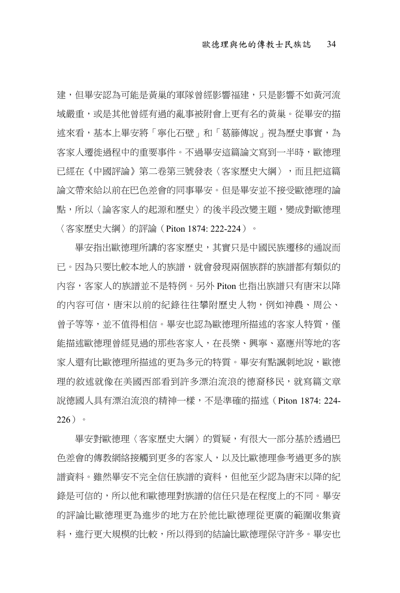建,但畢安認為可能是黃巢的軍隊曾經影響福建,只是影響不如黃河流 域嚴重,或是其他曾經有過的亂事被附會上更有名的黃巢。從畢安的描 述來看,基本上畢安將「寧化石壁」和「葛籐傳說」視為歷史事實,為 客家人遷徙過程中的重要事件。不過畢安這篇論文寫到一半時,歐德理 已經在《中國評論》第二卷第三號發表〈客家歷史大綱〉,而且把這篇 論文帶來給以前在巴色差會的同事畢安。但是畢安並不接受歐德理的論 點,所以〈論客家人的起源和歷史〉的後半段改變主題,變成對歐德理 〈客家歷史大綱〉的評論(Piton 1874: 222-224)。

畢安指出歐德理所講的客家歷史,其實只是中國民族遷移的通說而 已。因為只要比較本地人的族譜,就會發現兩個族群的族譜都有類似的 內容,客家人的族譜並不是特例。另外 Piton 也指出族譜只有唐宋以降 的內容可信,唐宋以前的紀錄往往攀附歷史人物,例如神農、周公、 曾子等等,並不值得相信。畢安也認為歐德理所描述的客家人特質,僅 能描述歐德理曾經見過的那些客家人,在長樂、興寧、嘉應州等地的客 家人還有比歐德理所描述的更為多元的特質。畢安有點諷刺地說,歐德 理的敘述就像在美國西部看到許多漂泊流浪的德裔移民,就寫篇文章 說德國人具有漂泊流浪的精神一樣,不是準確的描述 (Piton 1874: 224- $226$ )。

畢安對歐德理〈客家歷史大綱〉的質疑,有很大一部分基於诱過巴 色差會的傳教網絡接觸到更多的客家人,以及比歐德理參考過更多的族 譜資料。雖然畢安不完全信任族譜的資料,但他至少認為唐宋以降的紀 錄是可信的,所以他和歐德理對族譜的信任只是在程度上的不同。畢安 的評論比歐德理更為進步的地方在於他比歐德理從更廣的範圍收集資 料,進行更大規模的比較,所以得到的結論比歐德理保守許多。畢安也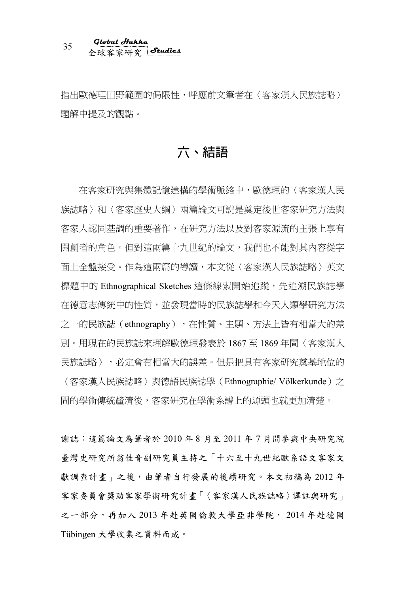# 全球客家研究 <sup>35</sup> **Global Hakka Studies**

指出歐德理田野範圍的侷限性,呼應前文筆者在〈客家漢人民族誌略〉 題解中提及的觀點。

### **六、結語**

在客家研究與集體記憶建構的學術脈絡中,歐德理的〈客家漢人民 族誌略〉和〈客家歷史大綱〉兩篇論文可說是奠定後世客家研究方法與 客家人認同基調的重要著作,在研究方法以及對客家源流的主張上享有 開創者的角色。但對這兩篇十九世紀的論文,我們也不能對其內容從字 面上全盤接受。作為這兩篇的導讀,本文從〈客家漢人民族誌略〉英文 標題中的 Ethnographical Sketches 這條線索開始追蹤,先追溯民族誌學 在德意志傳統中的性質,並發現當時的民族誌學和今天人類學研究方法 之一的民族誌(ethnography),在性質、主題、方法上皆有相當大的差 別。用現在的民族誌來理解歐德理發表於 1867 至 1869 年間〈客家漢人 民族誌略〉,必定會有相當大的誤差。但是把具有客家研究奠基地位的 〈客家漢人民族誌略〉與德語民族誌學(Ethnographie/ Völkerkunde)之 間的學術傳統釐清後,客家研究在學術系譜上的源頭也就更加清楚。

謝誌:這篇論文為筆者於 2010 年 8 月至 2011 年 7 月間參與中央研究院 臺灣史研究所翁佳音副研究員主持之「十六至十九世紀歐系語文客家文 獻調查計畫」之後,由筆者自行發展的後續研究。本文初稿為 2012年 客家委員會獎助客家學術研究計畫「〈客家漢人民族誌略〉譯註與研究」 之一部分,再加入 2013 年赴英國倫敦大學亞非學院, 2014 年赴德國 Tübingen 大學收集之資料而成。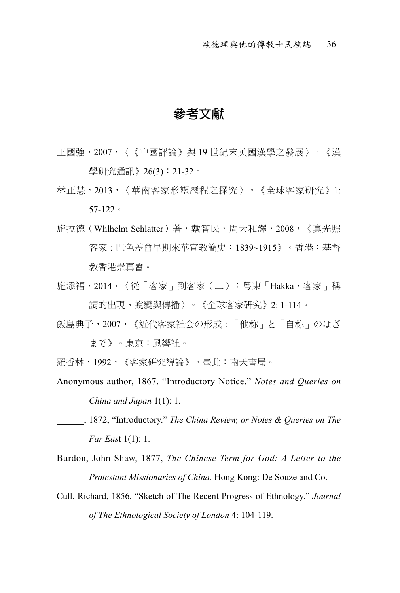#### **參考文獻**

- 王國強,2007,〈《中國評論》與 19 世紀末英國漢學之發展〉。《漢 學研究通訊》 26(3):21-32。
- 林正慧,2013,〈華南客家形塑歷程之探究〉。《全球客家研究》1: 57-122。
- 施拉德(Whlhelm Schlatter)著,戴智民,周天和譯,2008,《真光照 客家 : 巴色差會早期來華宣教簡史:1839~1915》。香港:基督 教香港崇真會。
- 施添福, 2014, 〈從「客家」到客家(二):粵東「Hakka·客家」稱 謂的出現、蛻變與傳播〉。《全球客家研究》2: 1-114。
- 飯島典子, 2007, 《近代客家社会の形成: 「他称」と「自称」のはざ

まで》。東京:風響社。

- 羅香林,1992,《客家硏究導論》。臺北:南天書局。
- Anonymous author, 1867, "Introductory Notice." *Notes and Queries on China and Japan* 1(1): 1.
- \_\_\_\_\_\_, 1872, "Introductory." *The China Review, or Notes & Queries on The Far Eas*t 1(1): 1.
- Burdon, John Shaw, 1877, *The Chinese Term for God: A Letter to the Protestant Missionaries of China.* Hong Kong: De Souze and Co.
- Cull, Richard, 1856, "Sketch of The Recent Progress of Ethnology." *Journal of The Ethnological Society of London* 4: 104-119.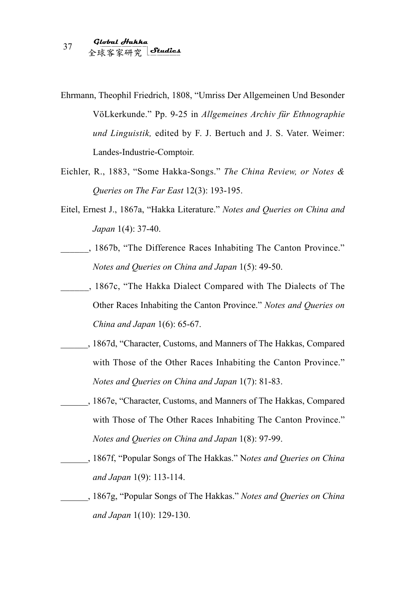- Ehrmann, Theophil Friedrich, 1808, "Umriss Der Allgemeinen Und Besonder VöLkerkunde." Pp. 9-25 in *Allgemeines Archiv für Ethnographie und Linguistik,* edited by F. J. Bertuch and J. S. Vater. Weimer: Landes-Industrie-Comptoir.
- Eichler, R., 1883, "Some Hakka-Songs." *The China Review, or Notes & Queries on The Far East* 12(3): 193-195.
- Eitel, Ernest J., 1867a, "Hakka Literature." *Notes and Queries on China and Japan* 1(4): 37-40.
- \_\_\_\_\_\_, 1867b, "The Difference Races Inhabiting The Canton Province." *Notes and Queries on China and Japan* 1(5): 49-50.
- \_\_\_\_\_\_, 1867c, "The Hakka Dialect Compared with The Dialects of The Other Races Inhabiting the Canton Province." *Notes and Queries on China and Japan* 1(6): 65-67.
- \_\_\_\_\_\_, 1867d, "Character, Customs, and Manners of The Hakkas, Compared with Those of the Other Races Inhabiting the Canton Province." *Notes and Queries on China and Japan* 1(7): 81-83.
- \_\_\_\_\_\_, 1867e, "Character, Customs, and Manners of The Hakkas, Compared with Those of The Other Races Inhabiting The Canton Province." *Notes and Queries on China and Japan* 1(8): 97-99.
- \_\_\_\_\_\_, 1867f, "Popular Songs of The Hakkas." N*otes and Queries on China and Japan* 1(9): 113-114.
- \_\_\_\_\_\_, 1867g, "Popular Songs of The Hakkas." *Notes and Queries on China and Japan* 1(10): 129-130.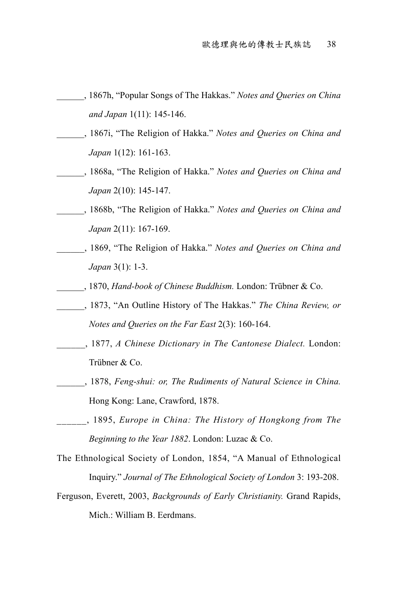- \_\_\_\_\_\_, 1867h, "Popular Songs of The Hakkas." *Notes and Queries on China and Japan* 1(11): 145-146.
- \_\_\_\_\_\_, 1867i, "The Religion of Hakka." *Notes and Queries on China and Japan* 1(12): 161-163.
- \_\_\_\_\_\_, 1868a, "The Religion of Hakka." *Notes and Queries on China and Japan* 2(10): 145-147.
- \_\_\_\_\_\_, 1868b, "The Religion of Hakka." *Notes and Queries on China and Japan* 2(11): 167-169.
- \_\_\_\_\_\_, 1869, "The Religion of Hakka." *Notes and Queries on China and Japan* 3(1): 1-3.
- \_\_\_\_\_\_, 1870, *Hand-book of Chinese Buddhism.* London: Trübner & Co.
- \_\_\_\_\_\_, 1873, "An Outline History of The Hakkas." *The China Review, or Notes and Queries on the Far East* 2(3): 160-164.
- \_\_\_\_\_\_, 1877, *A Chinese Dictionary in The Cantonese Dialect.* London: Trübner & Co.
- \_\_\_\_\_\_, 1878, *Feng-shui: or, The Rudiments of Natural Science in China.*  Hong Kong: Lane, Crawford, 1878.
- \_\_\_\_\_\_, 1895, *Europe in China: The History of Hongkong from The Beginning to the Year 1882*. London: Luzac & Co.
- The Ethnological Society of London, 1854, "A Manual of Ethnological Inquiry." *Journal of The Ethnological Society of London* 3: 193-208.
- Ferguson, Everett, 2003, *Backgrounds of Early Christianity.* Grand Rapids, Mich.: William B. Eerdmans.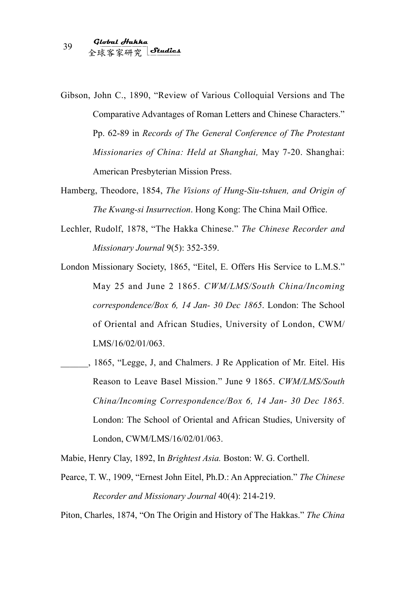- Gibson, John C., 1890, "Review of Various Colloquial Versions and The Comparative Advantages of Roman Letters and Chinese Characters." Pp. 62-89 in *Records of The General Conference of The Protestant Missionaries of China: Held at Shanghai,* May 7-20. Shanghai: American Presbyterian Mission Press.
- Hamberg, Theodore, 1854, *The Visions of Hung-Siu-tshuen, and Origin of The Kwang-si Insurrection*. Hong Kong: The China Mail Office.
- Lechler, Rudolf, 1878, "The Hakka Chinese." *The Chinese Recorder and Missionary Journal* 9(5): 352-359.
- London Missionary Society, 1865, "Eitel, E. Offers His Service to L.M.S." May 25 and June 2 1865. *CWM/LMS/South China/Incoming correspondence/Box 6, 14 Jan- 30 Dec 1865*. London: The School of Oriental and African Studies, University of London, CWM/ LMS/16/02/01/063.
- \_\_\_\_\_\_, 1865, "Legge, J, and Chalmers. J Re Application of Mr. Eitel. His Reason to Leave Basel Mission." June 9 1865. *CWM/LMS/South China/Incoming Correspondence/Box 6, 14 Jan- 30 Dec 1865.* London: The School of Oriental and African Studies, University of London, CWM/LMS/16/02/01/063.
- Mabie, Henry Clay, 1892, In *Brightest Asia.* Boston: W. G. Corthell.
- Pearce, T. W., 1909, "Ernest John Eitel, Ph.D.: An Appreciation." *The Chinese Recorder and Missionary Journal* 40(4): 214-219.

Piton, Charles, 1874, "On The Origin and History of The Hakkas." *The China*